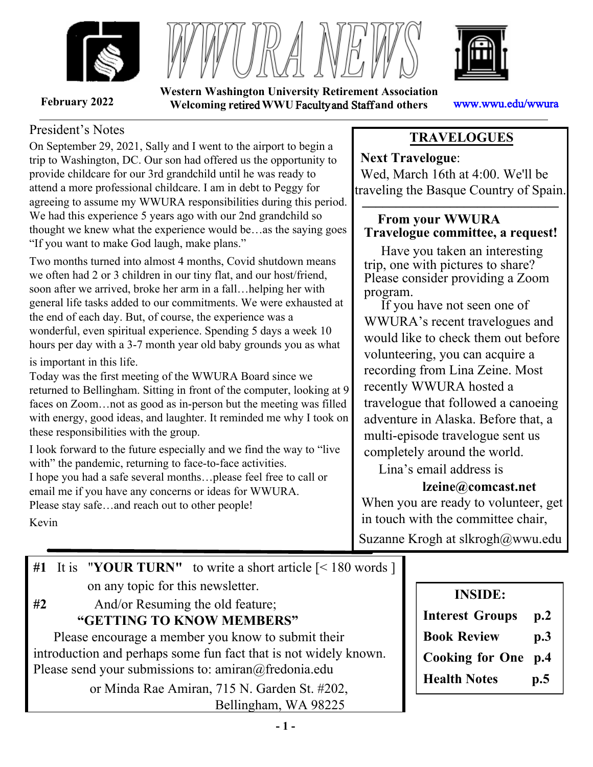





**Western Washington University Retirement Association February 2022 Welcoming r**etired **WWU** Faculty and Staff **and others** www.wwu.edu/wwura

## President's Notes

On September 29, 2021, Sally and I went to the airport to begin a trip to Washington, DC. Our son had offered us the opportunity to provide childcare for our 3rd grandchild until he was ready to attend a more professional childcare. I am in debt to Peggy for agreeing to assume my WWURA responsibilities during this period. We had this experience 5 years ago with our 2nd grandchild so thought we knew what the experience would be…as the saying goes "If you want to make God laugh, make plans."

Two months turned into almost 4 months, Covid shutdown means we often had 2 or 3 children in our tiny flat, and our host/friend, soon after we arrived, broke her arm in a fall…helping her with general life tasks added to our commitments. We were exhausted at the end of each day. But, of course, the experience was a wonderful, even spiritual experience. Spending 5 days a week 10 hours per day with a 3-7 month year old baby grounds you as what is important in this life.

Today was the first meeting of the WWURA Board since we returned to Bellingham. Sitting in front of the computer, looking at 9 faces on Zoom…not as good as in-person but the meeting was filled with energy, good ideas, and laughter. It reminded me why I took on these responsibilities with the group.

I look forward to the future especially and we find the way to "live with" the pandemic, returning to face-to-face activities. I hope you had a safe several months…please feel free to call or email me if you have any concerns or ideas for WWURA. Please stay safe…and reach out to other people!

# **TRAVELOGUES**

**Next Travelogue**: Wed, March 16th at 4:00. We'll be traveling the Basque Country of Spain.  $\overline{C}$  **1** *,* **<b>1** 

# **From your WWURA Travelogue committee, a request!**

 Have you taken an interesting trip, one with pictures to share? Please consider providing a Zoom program.

 If you have not seen one of WWURA's recent travelogues and would like to check them out before volunteering, you can acquire a recording from Lina Zeine. Most recently WWURA hosted a travelogue that followed a canoeing adventure in Alaska. Before that, a multi-episode travelogue sent us completely around the world.

Lina's email address is

# **lzeine@comcast.net**

When you are ready to volunteer, get in touch with the committee chair, Suzanne Krogh at slkrogh@wwu.edu

Kevin

**#1** It is "**YOUR TURN"** to write a short article [< 180 words ] on any topic for this newsletter. **#2** And/or Resuming the old feature;  **"GETTING TO KNOW MEMBERS"** Please encourage a member you know to submit their introduction and perhaps some fun fact that is not widely known. Please send your submissions to: amiran@fredonia.edu or Minda Rae Amiran, 715 N. Garden St. #202, Bellingham, WA 98225

# **INSIDE: Interest Groups p.2 Book Review p.3**

- **Cooking for One p.4**
- **Health Notes p.5**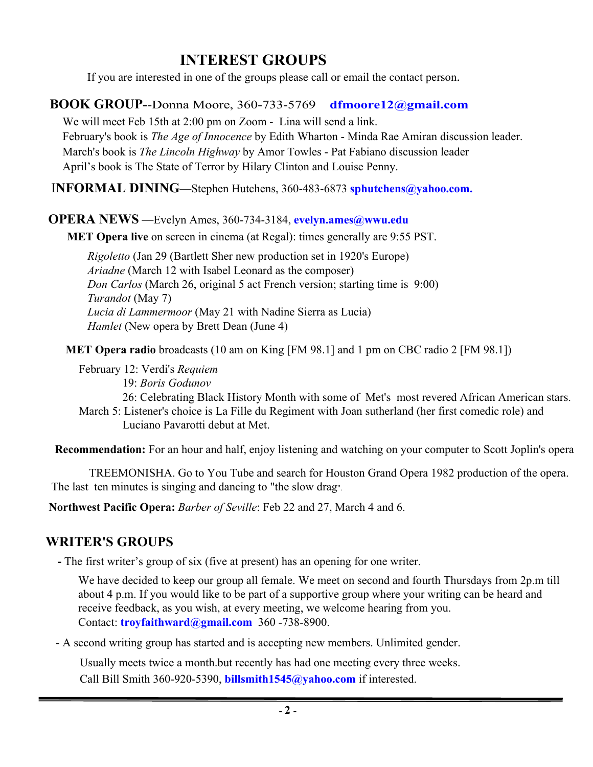# **INTEREST GROUPS**

If you are interested in one of the groups please call or email the contact person.

## **BOOK GROUP-**-Donna Moore, 360-733-5769 **dfmoore12@gmail.com**

We will meet Feb 15th at 2:00 pm on Zoom - Lina will send a link. February's book is *The Age of Innocence* by Edith Wharton - Minda Rae Amiran discussion leader. March's book is *The Lincoln Highway* by Amor Towles - Pat Fabiano discussion leader April's book is The State of Terror by Hilary Clinton and Louise Penny.

I**NFORMAL DINING**—Stephen Hutchens, 360-483-6873 **sphutchens@yahoo.com.**

### **OPERA NEWS** —Evelyn Ames, 360-734-3184, **evelyn.ames@wwu.edu**

**MET Opera live** on screen in cinema (at Regal): times generally are 9:55 PST.

 *Rigoletto* (Jan 29 (Bartlett Sher new production set in 1920's Europe)  *Ariadne* (March 12 with Isabel Leonard as the composer) *Don Carlos* (March 26, original 5 act French version; starting time is 9:00) *Turandot* (May 7)  *Lucia di Lammermoor* (May 21 with Nadine Sierra as Lucia) *Hamlet* (New opera by Brett Dean (June 4)

**MET Opera radio** broadcasts (10 am on King [FM 98.1] and 1 pm on CBC radio 2 [FM 98.1])

February 12: Verdi's *Requiem* 19: *Boris Godunov* 26: Celebrating Black History Month with some of Met's most revered African American stars. March 5: Listener's choice is La Fille du Regiment with Joan sutherland (her first comedic role) and Luciano Pavarotti debut at Met.

 **Recommendation:** For an hour and half, enjoy listening and watching on your computer to Scott Joplin's opera

 TREEMONISHA. Go to You Tube and search for Houston Grand Opera 1982 production of the opera. The last ten minutes is singing and dancing to "the slow drag".

 **Northwest Pacific Opera:** *Barber of Seville*: Feb 22 and 27, March 4 and 6.

# **WRITER'S GROUPS**

**-** The first writer's group of six (five at present) has an opening for one writer.

We have decided to keep our group all female. We meet on second and fourth Thursdays from 2p.m till about 4 p.m. If you would like to be part of a supportive group where your writing can be heard and receive feedback, as you wish, at every meeting, we welcome hearing from you. Contact: **troyfaithward@gmail.com** 360 -738-8900.

- A second writing group has started and is accepting new members. Unlimited gender.

Usually meets twice a month.but recently has had one meeting every three weeks. Call Bill Smith 360-920-5390, **billsmith1545@yahoo.com** if interested.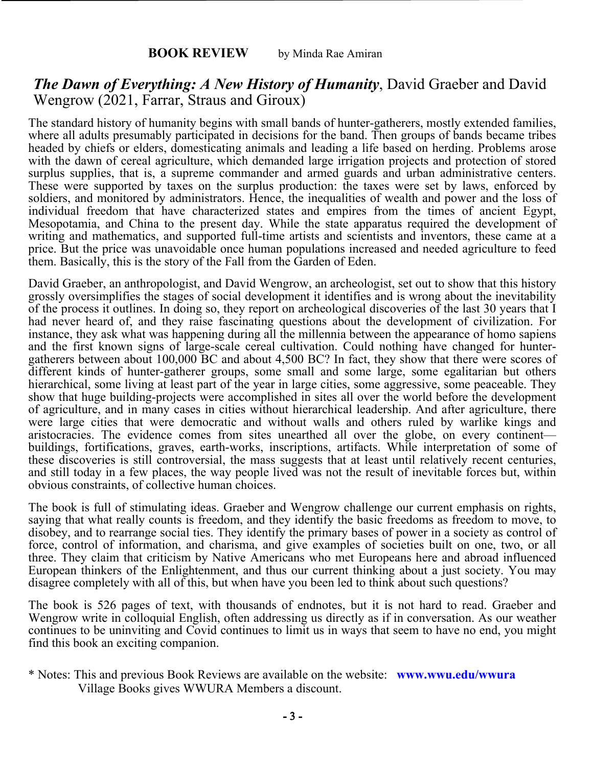#### **BOOK REVIEW** by Minda Rae Amiran

# *The Dawn of Everything: A New History of Humanity*, David Graeber and David Wengrow (2021, Farrar, Straus and Giroux)

The standard history of humanity begins with small bands of hunter-gatherers, mostly extended families, where all adults presumably participated in decisions for the band. Then groups of bands became tribes headed by chiefs or elders, domesticating animals and leading a life based on herding. Problems arose with the dawn of cereal agriculture, which demanded large irrigation projects and protection of stored surplus supplies, that is, a supreme commander and armed guards and urban administrative centers. These were supported by taxes on the surplus production: the taxes were set by laws, enforced by soldiers, and monitored by administrators. Hence, the inequalities of wealth and power and the loss of individual freedom that have characterized states and empires from the times of ancient Egypt, Mesopotamia, and China to the present day. While the state apparatus required the development of writing and mathematics, and supported full-time artists and scientists and inventors, these came at a price. But the price was unavoidable once human populations increased and needed agriculture to feed them. Basically, this is the story of the Fall from the Garden of Eden.

David Graeber, an anthropologist, and David Wengrow, an archeologist, set out to show that this history grossly oversimplifies the stages of social development it identifies and is wrong about the inevitability of the process it outlines. In doing so, they report on archeological discoveries of the last 30 years that I had never heard of, and they raise fascinating questions about the development of civilization. For instance, they ask what was happening during all the millennia between the appearance of homo sapiens and the first known signs of large-scale cereal cultivation. Could nothing have changed for huntergatherers between about 100,000 BC and about 4,500 BC? In fact, they show that there were scores of different kinds of hunter-gatherer groups, some small and some large, some egalitarian but others hierarchical, some living at least part of the year in large cities, some aggressive, some peaceable. They show that huge building-projects were accomplished in sites all over the world before the development of agriculture, and in many cases in cities without hierarchical leadership. And after agriculture, there were large cities that were democratic and without walls and others ruled by warlike kings and aristocracies. The evidence comes from sites unearthed all over the globe, on every continent buildings, fortifications, graves, earth-works, inscriptions, artifacts. While interpretation of some of these discoveries is still controversial, the mass suggests that at least until relatively recent centuries, and still today in a few places, the way people lived was not the result of inevitable forces but, within obvious constraints, of collective human choices.

The book is full of stimulating ideas. Graeber and Wengrow challenge our current emphasis on rights, saying that what really counts is freedom, and they identify the basic freedoms as freedom to move, to disobey, and to rearrange social ties. They identify the primary bases of power in a society as control of force, control of information, and charisma, and give examples of societies built on one, two, or all three. They claim that criticism by Native Americans who met Europeans here and abroad influenced European thinkers of the Enlightenment, and thus our current thinking about a just society. You may disagree completely with all of this, but when have you been led to think about such questions?

The book is 526 pages of text, with thousands of endnotes, but it is not hard to read. Graeber and Wengrow write in colloquial English, often addressing us directly as if in conversation. As our weather continues to be uninviting and Covid continues to limit us in ways that seem to have no end, you might find this book an exciting companion.

Village Books gives WWURA Members a discount. \* Notes: This and previous Book Reviews are available on the website: **www.wwu.edu/wwura**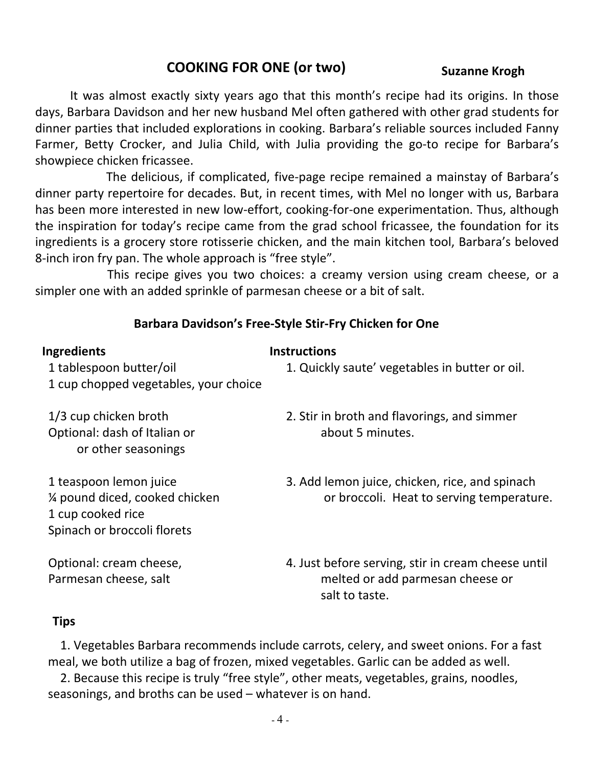# **COOKING FOR ONE (or two)** Suzanne Krogh

It was almost exactly sixty years ago that this month's recipe had its origins. In those days, Barbara Davidson and her new husband Mel often gathered with other grad students for dinner parties that included explorations in cooking. Barbara's reliable sources included Fanny Farmer, Betty Crocker, and Julia Child, with Julia providing the go-to recipe for Barbara's showpiece chicken fricassee.

The delicious, if complicated, five-page recipe remained a mainstay of Barbara's dinner party repertoire for decades. But, in recent times, with Mel no longer with us, Barbara has been more interested in new low-effort, cooking-for-one experimentation. Thus, although the inspiration for today's recipe came from the grad school fricassee, the foundation for its ingredients is a grocery store rotisserie chicken, and the main kitchen tool, Barbara's beloved 8-inch iron fry pan. The whole approach is "free style".

This recipe gives you two choices: a creamy version using cream cheese, or a simpler one with an added sprinkle of parmesan cheese or a bit of salt.

## **Barbara Davidson's Free-Style Stir-Fry Chicken for One**

| <b>Ingredients</b>                                   | <b>Instructions</b>                                |
|------------------------------------------------------|----------------------------------------------------|
| 1 tablespoon butter/oil                              | 1. Quickly saute' vegetables in butter or oil.     |
| 1 cup chopped vegetables, your choice                |                                                    |
| 1/3 cup chicken broth                                | 2. Stir in broth and flavorings, and simmer        |
| Optional: dash of Italian or<br>or other seasonings  | about 5 minutes.                                   |
| 1 teaspoon lemon juice                               | 3. Add lemon juice, chicken, rice, and spinach     |
| 1/4 pound diced, cooked chicken<br>1 cup cooked rice | or broccoli. Heat to serving temperature.          |
| Spinach or broccoli florets                          |                                                    |
| Optional: cream cheese,                              | 4. Just before serving, stir in cream cheese until |
| Parmesan cheese, salt                                | melted or add parmesan cheese or<br>salt to taste. |

#### **Tips**

1. Vegetables Barbara recommends include carrots, celery, and sweet onions. For a fast meal, we both utilize a bag of frozen, mixed vegetables. Garlic can be added as well.

2. Because this recipe is truly "free style", other meats, vegetables, grains, noodles, seasonings, and broths can be used – whatever is on hand.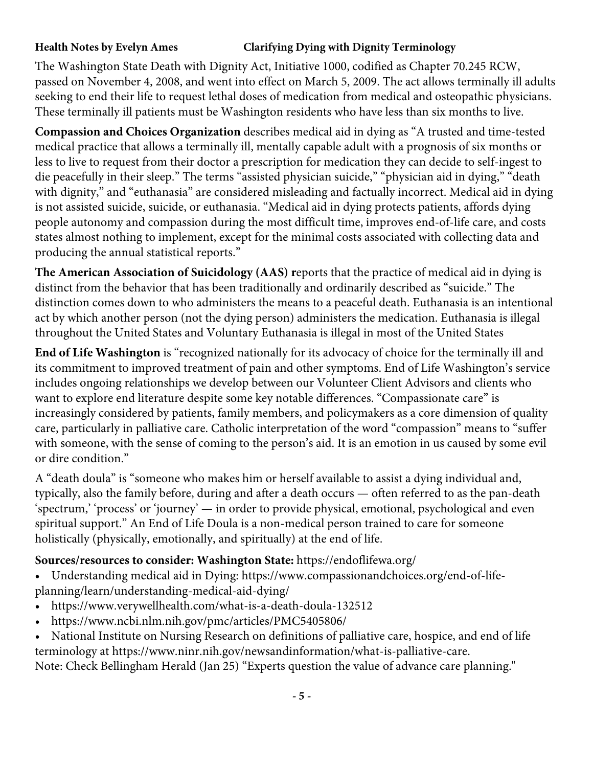### **Health Notes by Evelyn Ames Clarifying Dying with Dignity Terminology**

The Washington State Death with Dignity Act, Initiative 1000, codified as Chapter 70.245 RCW, passed on November 4, 2008, and went into effect on March 5, 2009. The act allows terminally ill adults seeking to end their life to request lethal doses of medication from medical and osteopathic physicians. These terminally ill patients must be Washington residents who have less than six months to live.

**Compassion and Choices Organization** describes medical aid in dying as "A trusted and time-tested medical practice that allows a terminally ill, mentally capable adult with a prognosis of six months or less to live to request from their doctor a prescription for medication they can decide to self-ingest to die peacefully in their sleep." The terms "assisted physician suicide," "physician aid in dying," "death with dignity," and "euthanasia" are considered misleading and factually incorrect. Medical aid in dying is not assisted suicide, suicide, or euthanasia. "Medical aid in dying protects patients, affords dying people autonomy and compassion during the most difficult time, improves end-of-life care, and costs states almost nothing to implement, except for the minimal costs associated with collecting data and producing the annual statistical reports."

**The American Association of Suicidology (AAS) r**eports that the practice of medical aid in dying is distinct from the behavior that has been traditionally and ordinarily described as "suicide." The distinction comes down to who administers the means to a peaceful death. Euthanasia is an intentional act by which another person (not the dying person) administers the medication. Euthanasia is illegal throughout the United States and Voluntary Euthanasia is illegal in most of the United States

**End of Life Washington** is "recognized nationally for its advocacy of choice for the terminally ill and its commitment to improved treatment of pain and other symptoms. End of Life Washington's service includes ongoing relationships we develop between our Volunteer Client Advisors and clients who want to explore end literature despite some key notable differences. "Compassionate care" is increasingly considered by patients, family members, and policymakers as a core dimension of quality care, particularly in palliative care. Catholic interpretation of the word "compassion" means to "suffer with someone, with the sense of coming to the person's aid. It is an emotion in us caused by some evil or dire condition."

A "death doula" is "someone who makes him or herself available to assist a dying individual and, typically, also the family before, during and after a death occurs — often referred to as the pan-death 'spectrum,' 'process' or 'journey' — in order to provide physical, emotional, psychological and even spiritual support." An End of Life Doula is a non-medical person trained to care for someone holistically (physically, emotionally, and spiritually) at the end of life.

## **Sources/resources to consider: Washington State:** https://endoflifewa.org/

- Understanding medical aid in Dying: https://www.compassionandchoices.org/end-of-lifeplanning/learn/understanding-medical-aid-dying/
- https://www.verywellhealth.com/what-is-a-death-doula-132512
- https://www.ncbi.nlm.nih.gov/pmc/articles/PMC5405806/
- National Institute on Nursing Research on definitions of palliative care, hospice, and end of life terminology at https://www.ninr.nih.gov/newsandinformation/what-is-palliative-care.

Note: Check Bellingham Herald (Jan 25) "Experts question the value of advance care planning."